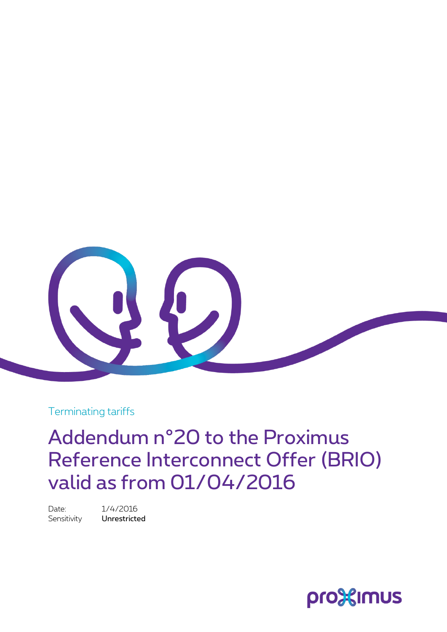

Terminating tariffs

Addendum n°20 to the Proximus Reference Interconnect Offer (BRIO) valid as from 01/04/2016

Date: 1/4/2016 Sensitivity **Unrestricted** 

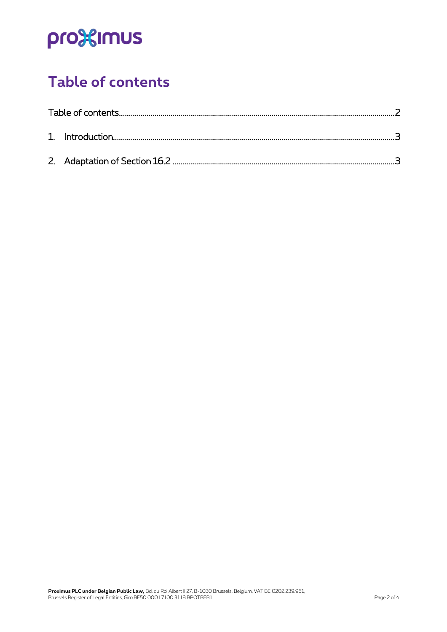# pro<sup>32</sup>imus

## <span id="page-1-0"></span>**Table of contents**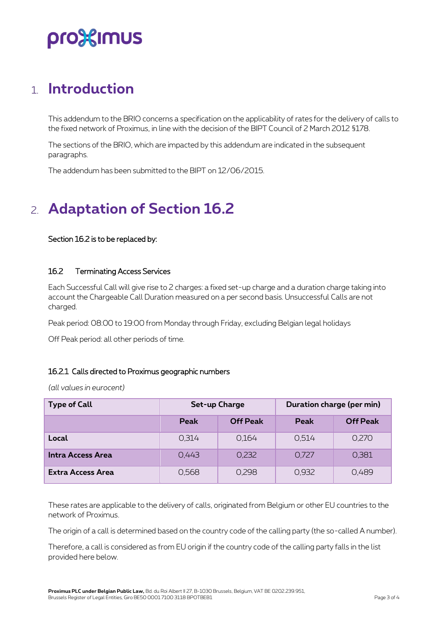## pro%imus

### <span id="page-2-0"></span>1. **Introduction**

This addendum to the BRIO concerns a specification on the applicability of rates for the delivery of calls to the fixed network of Proximus, in line with the decision of the BIPT Council of 2 March 2012 §178.

The sections of the BRIO, which are impacted by this addendum are indicated in the subsequent paragraphs.

<span id="page-2-1"></span>The addendum has been submitted to the BIPT on 12/06/2015.

### 2. **Adaptation of Section 16.2**

#### Section 16.2 is to be replaced by:

#### 16.2 Terminating Access Services

Each Successful Call will give rise to 2 charges: a fixed set-up charge and a duration charge taking into account the Chargeable Call Duration measured on a per second basis. Unsuccessful Calls are not charged.

Peak period: 08:00 to 19:00 from Monday through Friday, excluding Belgian legal holidays

Off Peak period: all other periods of time.

### 16.2.1 Calls directed to Proximus geographic numbers

*(all values in eurocent)*

| <b>Type of Call</b>      | Set-up Charge |                 | Duration charge (per min) |                 |
|--------------------------|---------------|-----------------|---------------------------|-----------------|
|                          | Peak          | <b>Off Peak</b> | Peak                      | <b>Off Peak</b> |
| Local                    | 0.314         | 0.164           | 0,514                     | 0,270           |
| Intra Access Area        | 0.443         | 0,232           | 0,727                     | 0,381           |
| <b>Extra Access Area</b> | 0,568         | 0,298           | 0,932                     | 0,489           |

These rates are applicable to the delivery of calls, originated from Belgium or other EU countries to the network of Proximus.

The origin of a call is determined based on the country code of the calling party (the so-called A number).

Therefore, a call is considered as from EU origin if the country code of the calling party falls in the list provided here below.